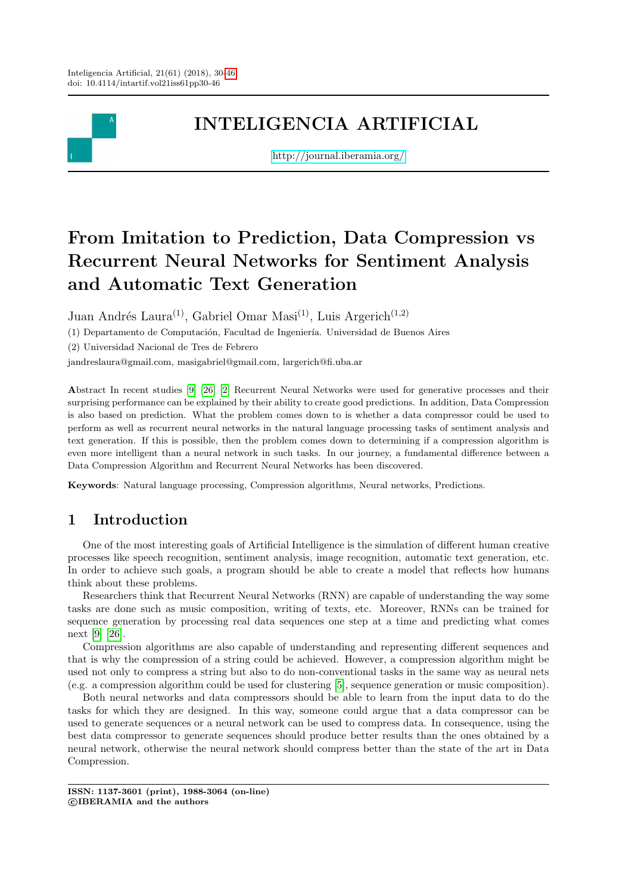

# INTELIGENCIA ARTIFICIAL

<http://journal.iberamia.org/>

# From Imitation to Prediction, Data Compression vs Recurrent Neural Networks for Sentiment Analysis and Automatic Text Generation

Juan Andrés Laura<sup>(1)</sup>, Gabriel Omar Masi<sup>(1)</sup>, Luis Argerich<sup>(1,2)</sup>

(1) Departamento de Computación, Facultad de Ingeniería. Universidad de Buenos Aires

(2) Universidad Nacional de Tres de Febrero

jandreslaura@gmail.com, masigabriel@gmail.com, largerich@fi.uba.ar

Abstract In recent studies [\[9\]](#page-15-0) [\[26\]](#page-16-1) [\[2\]](#page-15-1) Recurrent Neural Networks were used for generative processes and their surprising performance can be explained by their ability to create good predictions. In addition, Data Compression is also based on prediction. What the problem comes down to is whether a data compressor could be used to perform as well as recurrent neural networks in the natural language processing tasks of sentiment analysis and text generation. If this is possible, then the problem comes down to determining if a compression algorithm is even more intelligent than a neural network in such tasks. In our journey, a fundamental difference between a Data Compression Algorithm and Recurrent Neural Networks has been discovered.

Keywords: Natural language processing, Compression algorithms, Neural networks, Predictions.

# 1 Introduction

One of the most interesting goals of Artificial Intelligence is the simulation of different human creative processes like speech recognition, sentiment analysis, image recognition, automatic text generation, etc. In order to achieve such goals, a program should be able to create a model that reflects how humans think about these problems.

Researchers think that Recurrent Neural Networks (RNN) are capable of understanding the way some tasks are done such as music composition, writing of texts, etc. Moreover, RNNs can be trained for sequence generation by processing real data sequences one step at a time and predicting what comes next [\[9\]](#page-15-0) [\[26\]](#page-16-1).

Compression algorithms are also capable of understanding and representing different sequences and that is why the compression of a string could be achieved. However, a compression algorithm might be used not only to compress a string but also to do non-conventional tasks in the same way as neural nets (e.g. a compression algorithm could be used for clustering [\[5\]](#page-15-2), sequence generation or music composition).

Both neural networks and data compressors should be able to learn from the input data to do the tasks for which they are designed. In this way, someone could argue that a data compressor can be used to generate sequences or a neural network can be used to compress data. In consequence, using the best data compressor to generate sequences should produce better results than the ones obtained by a neural network, otherwise the neural network should compress better than the state of the art in Data Compression.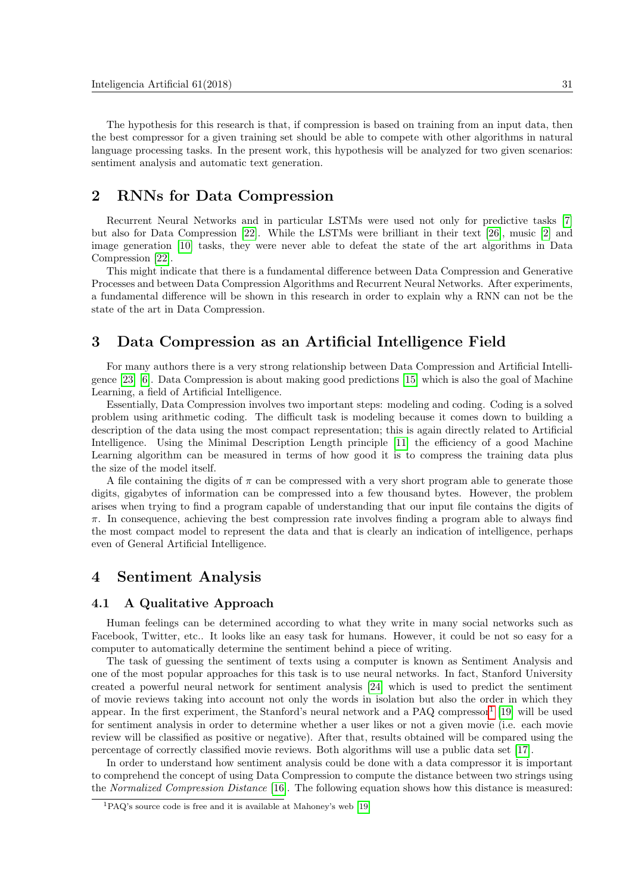The hypothesis for this research is that, if compression is based on training from an input data, then the best compressor for a given training set should be able to compete with other algorithms in natural language processing tasks. In the present work, this hypothesis will be analyzed for two given scenarios: sentiment analysis and automatic text generation.

# 2 RNNs for Data Compression

Recurrent Neural Networks and in particular LSTMs were used not only for predictive tasks [\[7\]](#page-15-3) but also for Data Compression [\[22\]](#page-16-2). While the LSTMs were brilliant in their text [\[26\]](#page-16-1), music [\[2\]](#page-15-1) and image generation [\[10\]](#page-15-4) tasks, they were never able to defeat the state of the art algorithms in Data Compression [\[22\]](#page-16-2).

This might indicate that there is a fundamental difference between Data Compression and Generative Processes and between Data Compression Algorithms and Recurrent Neural Networks. After experiments, a fundamental difference will be shown in this research in order to explain why a RNN can not be the state of the art in Data Compression.

# 3 Data Compression as an Artificial Intelligence Field

For many authors there is a very strong relationship between Data Compression and Artificial Intelligence [\[23\]](#page-16-3) [\[6\]](#page-15-5). Data Compression is about making good predictions [\[15\]](#page-16-4) which is also the goal of Machine Learning, a field of Artificial Intelligence.

Essentially, Data Compression involves two important steps: modeling and coding. Coding is a solved problem using arithmetic coding. The difficult task is modeling because it comes down to building a description of the data using the most compact representation; this is again directly related to Artificial Intelligence. Using the Minimal Description Length principle [\[11\]](#page-15-6) the efficiency of a good Machine Learning algorithm can be measured in terms of how good it is to compress the training data plus the size of the model itself.

A file containing the digits of  $\pi$  can be compressed with a very short program able to generate those digits, gigabytes of information can be compressed into a few thousand bytes. However, the problem arises when trying to find a program capable of understanding that our input file contains the digits of  $\pi$ . In consequence, achieving the best compression rate involves finding a program able to always find the most compact model to represent the data and that is clearly an indication of intelligence, perhaps even of General Artificial Intelligence.

# <span id="page-1-1"></span>4 Sentiment Analysis

### 4.1 A Qualitative Approach

Human feelings can be determined according to what they write in many social networks such as Facebook, Twitter, etc.. It looks like an easy task for humans. However, it could be not so easy for a computer to automatically determine the sentiment behind a piece of writing.

The task of guessing the sentiment of texts using a computer is known as Sentiment Analysis and one of the most popular approaches for this task is to use neural networks. In fact, Stanford University created a powerful neural network for sentiment analysis [\[24\]](#page-16-5) which is used to predict the sentiment of movie reviews taking into account not only the words in isolation but also the order in which they appear. In the first experiment, the Stanford's neural network and a PAQ compressor<sup>[1](#page-1-0)</sup> [\[19\]](#page-16-6) will be used for sentiment analysis in order to determine whether a user likes or not a given movie (i.e. each movie review will be classified as positive or negative). After that, results obtained will be compared using the percentage of correctly classified movie reviews. Both algorithms will use a public data set [\[17\]](#page-16-7).

In order to understand how sentiment analysis could be done with a data compressor it is important to comprehend the concept of using Data Compression to compute the distance between two strings using the Normalized Compression Distance [\[16\]](#page-16-8). The following equation shows how this distance is measured:

<span id="page-1-0"></span> ${}^{1}PAQ$ 's source code is free and it is available at Mahoney's web [\[19\]](#page-16-6)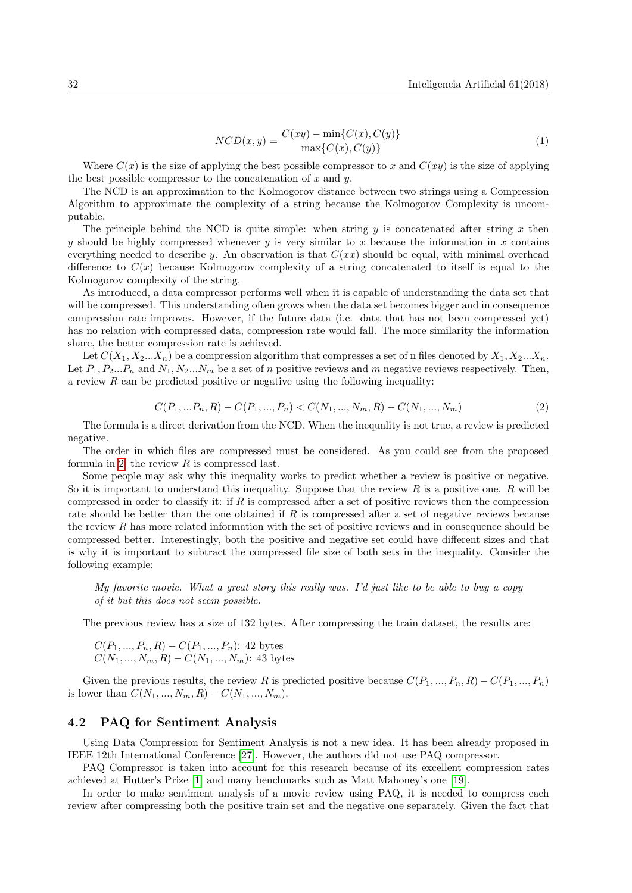$$
NCD(x,y) = \frac{C(xy) - \min\{C(x), C(y)\}}{\max\{C(x), C(y)\}}
$$
\n(1)

Where  $C(x)$  is the size of applying the best possible compressor to x and  $C(xy)$  is the size of applying the best possible compressor to the concatenation of  $x$  and  $y$ .

The NCD is an approximation to the Kolmogorov distance between two strings using a Compression Algorithm to approximate the complexity of a string because the Kolmogorov Complexity is uncomputable.

The principle behind the NCD is quite simple: when string  $y$  is concatenated after string  $x$  then y should be highly compressed whenever y is very similar to x because the information in x contains everything needed to describe y. An observation is that  $C(xx)$  should be equal, with minimal overhead difference to  $C(x)$  because Kolmogorov complexity of a string concatenated to itself is equal to the Kolmogorov complexity of the string.

As introduced, a data compressor performs well when it is capable of understanding the data set that will be compressed. This understanding often grows when the data set becomes bigger and in consequence compression rate improves. However, if the future data (i.e. data that has not been compressed yet) has no relation with compressed data, compression rate would fall. The more similarity the information share, the better compression rate is achieved.

Let  $C(X_1, X_2...X_n)$  be a compression algorithm that compresses a set of n files denoted by  $X_1, X_2...X_n$ . Let  $P_1, P_2...P_n$  and  $N_1, N_2...N_m$  be a set of n positive reviews and m negative reviews respectively. Then, a review  $R$  can be predicted positive or negative using the following inequality:

<span id="page-2-0"></span>
$$
C(P_1, ... P_n, R) - C(P_1, ..., P_n) < C(N_1, ..., N_m, R) - C(N_1, ..., N_m) \tag{2}
$$

The formula is a direct derivation from the NCD. When the inequality is not true, a review is predicted negative.

The order in which files are compressed must be considered. As you could see from the proposed formula in [2,](#page-2-0) the review  $R$  is compressed last.

Some people may ask why this inequality works to predict whether a review is positive or negative. So it is important to understand this inequality. Suppose that the review  $R$  is a positive one.  $R$  will be compressed in order to classify it: if R is compressed after a set of positive reviews then the compression rate should be better than the one obtained if  $R$  is compressed after a set of negative reviews because the review  $R$  has more related information with the set of positive reviews and in consequence should be compressed better. Interestingly, both the positive and negative set could have different sizes and that is why it is important to subtract the compressed file size of both sets in the inequality. Consider the following example:

My favorite movie. What a great story this really was. I'd just like to be able to buy a copy of it but this does not seem possible.

The previous review has a size of 132 bytes. After compressing the train dataset, the results are:

$$
C(P_1, ..., P_n, R) - C(P_1, ..., P_n)
$$
: 42 bytes  
 $C(N_1, ..., N_m, R) - C(N_1, ..., N_m)$ : 43 bytes

Given the previous results, the review R is predicted positive because  $C(P_1, ..., P_n, R) - C(P_1, ..., P_n)$ is lower than  $C(N_1, ..., N_m, R) - C(N_1, ..., N_m)$ .

#### <span id="page-2-1"></span>4.2 PAQ for Sentiment Analysis

Using Data Compression for Sentiment Analysis is not a new idea. It has been already proposed in IEEE 12th International Conference [\[27\]](#page-16-9). However, the authors did not use PAQ compressor.

PAQ Compressor is taken into account for this research because of its excellent compression rates achieved at Hutter's Prize [\[1\]](#page-15-7) and many benchmarks such as Matt Mahoney's one [\[19\]](#page-16-6).

In order to make sentiment analysis of a movie review using PAQ, it is needed to compress each review after compressing both the positive train set and the negative one separately. Given the fact that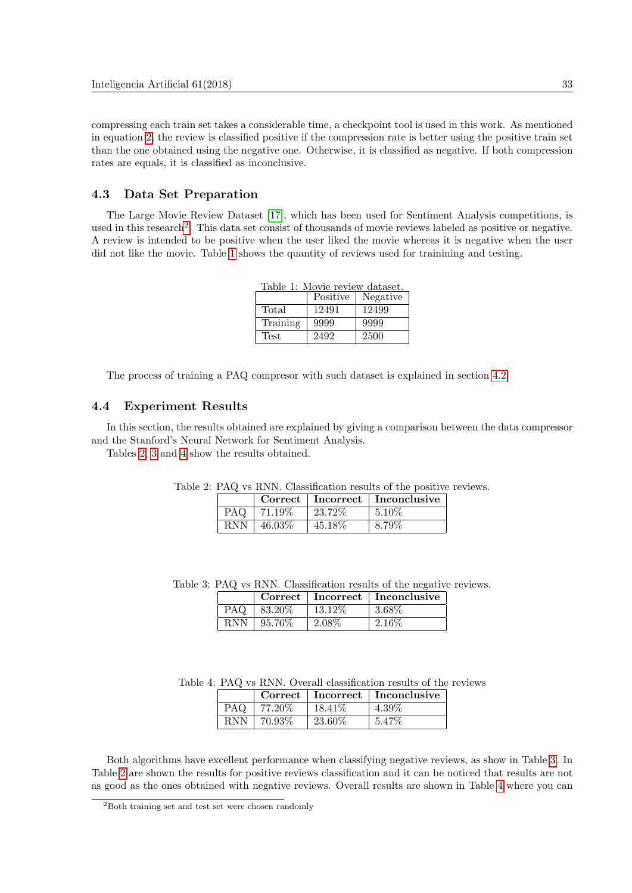compressing each train set takes a considerable time, a checkpoint tool is used in this work. As mentioned in equation [2,](#page-2-0) the review is classified positive if the compression rate is better using the positive train set than the one obtained using the negative one. Otherwise, it is classified as negative. If both compression rates are equals, it is classified as inconclusive.

### 4.3 Data Set Preparation

The Large Movie Review Dataset [\[17\]](#page-16-7), which has been used for Sentiment Analysis competitions, is used in this research<sup>[2](#page-3-0)</sup>. This data set consist of thousands of movie reviews labeled as positive or negative. A review is intended to be positive when the user liked the movie whereas it is negative when the user did not like the movie. Table [1](#page-3-1) shows the quantity of reviews used for trainining and testing.

<span id="page-3-1"></span>

| Table 1: Movie review dataset. |          |          |  |
|--------------------------------|----------|----------|--|
|                                | Positive | Negative |  |
| Total                          | 12491    | 12499    |  |
| Training                       | 9999     | 9999     |  |
| <b>Test</b>                    | 2492     | 2500     |  |

The process of training a PAQ compresor with such dataset is explained in section [4.2](#page-2-1)

### 4.4 Experiment Results

In this section, the results obtained are explained by giving a comparison between the data compressor and the Stanford's Neural Network for Sentiment Analysis.

Tables [2,](#page-3-2) [3](#page-3-3) and [4](#page-3-4) show the results obtained.

<span id="page-3-2"></span>

|            |        |         | $Correct \perp Incorrect \perp Inconclusive$ |
|------------|--------|---------|----------------------------------------------|
| <b>PAQ</b> | 71.19% | 23.72\% | $\pm 5.10\%$                                 |
| <b>RNN</b> | 46.03% | 45.18\% | 8.79%                                        |

Table 2: PAQ vs RNN. Classification results of the positive reviews.

Table 3: PAQ vs RNN. Classification results of the negative reviews.

<span id="page-3-3"></span>

|            |            |           | Correct   Incorrect   Inconclusive |  |
|------------|------------|-----------|------------------------------------|--|
| PAQ.       | $83.20\%$  | $13.12\%$ | 3.68\%                             |  |
| <b>RNN</b> | $ 95.76\%$ | 2.08\%    | -2.169                             |  |

Table 4: PAQ vs RNN. Overall classification results of the reviews

<span id="page-3-4"></span>

|            |           |           | $Correct \perp Incorrect \perp Inconclusive$ |
|------------|-----------|-----------|----------------------------------------------|
| PAQ        | 77.20%    | $18.41\%$ | $4.39\%$                                     |
| <b>RNN</b> | $70.93\%$ | 23.60%    | 5.47%                                        |

Both algorithms have excellent performance when classifying negative reviews, as show in Table [3.](#page-3-3) In Table [2](#page-3-2) are shown the results for positive reviews classification and it can be noticed that results are not as good as the ones obtained with negative reviews. Overall results are shown in Table [4](#page-3-4) where you can

<span id="page-3-0"></span><sup>2</sup>Both training set and test set were chosen randomly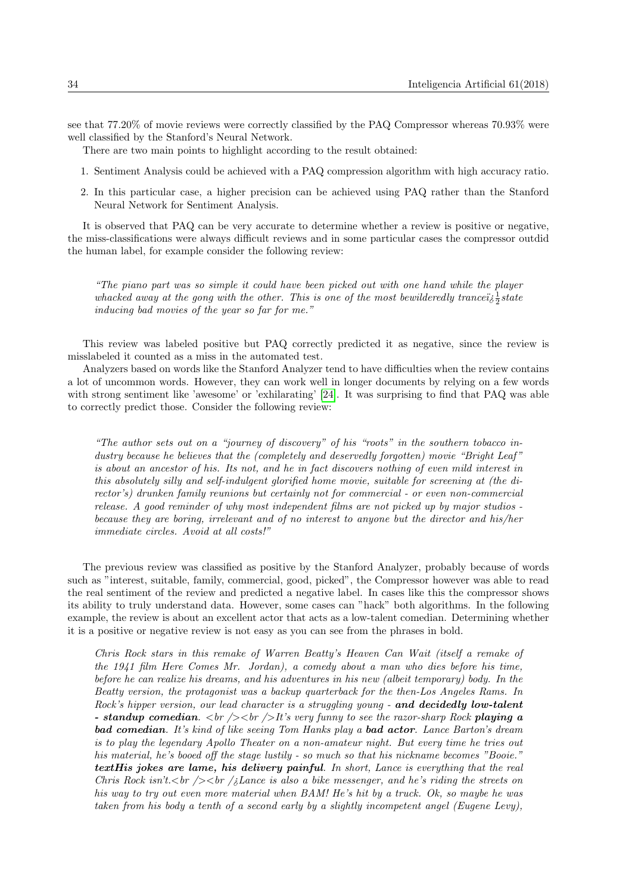see that 77.20% of movie reviews were correctly classified by the PAQ Compressor whereas 70.93% were well classified by the Stanford's Neural Network.

There are two main points to highlight according to the result obtained:

- 1. Sentiment Analysis could be achieved with a PAQ compression algorithm with high accuracy ratio.
- 2. In this particular case, a higher precision can be achieved using PAQ rather than the Stanford Neural Network for Sentiment Analysis.

It is observed that PAQ can be very accurate to determine whether a review is positive or negative, the miss-classifications were always difficult reviews and in some particular cases the compressor outdid the human label, for example consider the following review:

"The piano part was so simple it could have been picked out with one hand while the player whacked away at the gong with the other. This is one of the most bewilderedly tranceiz $\frac{1}{2}$ state inducing bad movies of the year so far for me."

This review was labeled positive but PAQ correctly predicted it as negative, since the review is misslabeled it counted as a miss in the automated test.

Analyzers based on words like the Stanford Analyzer tend to have difficulties when the review contains a lot of uncommon words. However, they can work well in longer documents by relying on a few words with strong sentiment like 'awesome' or 'exhilarating' [\[24\]](#page-16-5). It was surprising to find that PAQ was able to correctly predict those. Consider the following review:

"The author sets out on a "journey of discovery" of his "roots" in the southern tobacco industry because he believes that the (completely and deservedly forgotten) movie "Bright Leaf" is about an ancestor of his. Its not, and he in fact discovers nothing of even mild interest in this absolutely silly and self-indulgent glorified home movie, suitable for screening at (the director's) drunken family reunions but certainly not for commercial - or even non-commercial release. A good reminder of why most independent films are not picked up by major studios because they are boring, irrelevant and of no interest to anyone but the director and his/her immediate circles. Avoid at all costs!"

The previous review was classified as positive by the Stanford Analyzer, probably because of words such as "interest, suitable, family, commercial, good, picked", the Compressor however was able to read the real sentiment of the review and predicted a negative label. In cases like this the compressor shows its ability to truly understand data. However, some cases can "hack" both algorithms. In the following example, the review is about an excellent actor that acts as a low-talent comedian. Determining whether it is a positive or negative review is not easy as you can see from the phrases in bold.

Chris Rock stars in this remake of Warren Beatty's Heaven Can Wait (itself a remake of the 1941 film Here Comes Mr. Jordan), a comedy about a man who dies before his time, before he can realize his dreams, and his adventures in his new (albeit temporary) body. In the Beatty version, the protagonist was a backup quarterback for the then-Los Angeles Rams. In Rock's hipper version, our lead character is a struggling young - and decidedly low-talent - standup comedian.  $\langle \text{Br } \rangle > \langle \text{Br } \rangle$  it's very funny to see the razor-sharp Rock playing a bad comedian. It's kind of like seeing Tom Hanks play a bad actor. Lance Barton's dream is to play the legendary Apollo Theater on a non-amateur night. But every time he tries out his material, he's booed off the stage lustily - so much so that his nickname becomes "Booie." textHis jokes are lame, his delivery painful. In short, Lance is everything that the real Chris Rock isn't. $\langle b \rangle$  /> $\langle b \rangle$  / $\delta$  Lance is also a bike messenger, and he's riding the streets on his way to try out even more material when BAM! He's hit by a truck. Ok, so maybe he was taken from his body a tenth of a second early by a slightly incompetent angel (Eugene Levy),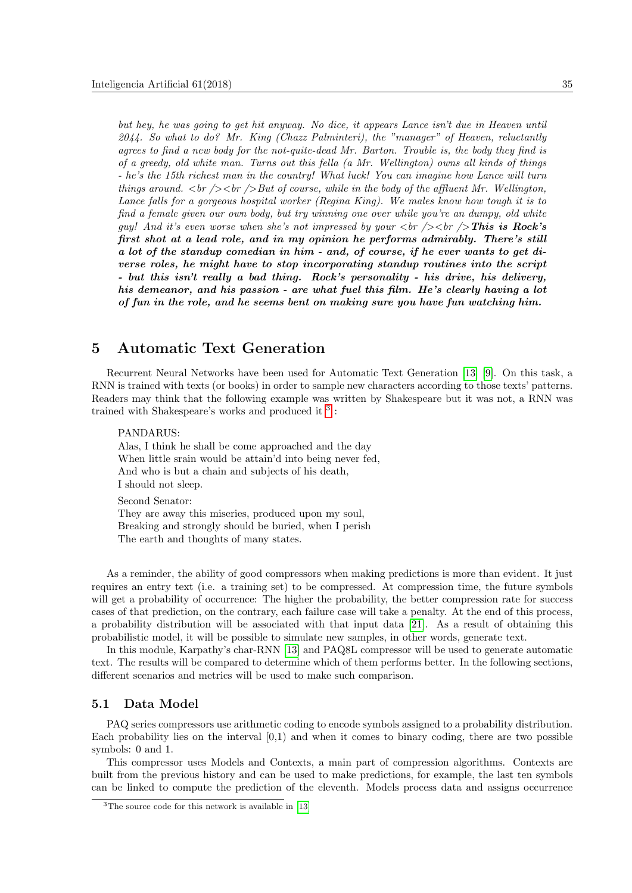but hey, he was going to get hit anyway. No dice, it appears Lance isn't due in Heaven until 2044. So what to do? Mr. King (Chazz Palminteri), the "manager" of Heaven, reluctantly agrees to find a new body for the not-quite-dead Mr. Barton. Trouble is, the body they find is of a greedy, old white man. Turns out this fella (a Mr. Wellington) owns all kinds of things - he's the 15th richest man in the country! What luck! You can imagine how Lance will turn things around.  $\langle br \rangle > b r$  /> But of course, while in the body of the affluent Mr. Wellington, Lance falls for a gorgeous hospital worker (Regina King). We males know how tough it is to find a female given our own body, but try winning one over while you're an dumpy, old white guy! And it's even worse when she's not impressed by your  $\langle b r \rangle > \langle b r \rangle$  This is Rock's first shot at a lead role, and in my opinion he performs admirably. There's still a lot of the standup comedian in him - and, of course, if he ever wants to get diverse roles, he might have to stop incorporating standup routines into the script - but this isn't really a bad thing. Rock's personality - his drive, his delivery, his demeanor, and his passion - are what fuel this film. He's clearly having a lot of fun in the role, and he seems bent on making sure you have fun watching him.

# 5 Automatic Text Generation

Recurrent Neural Networks have been used for Automatic Text Generation [\[13\]](#page-15-8) [\[9\]](#page-15-0). On this task, a RNN is trained with texts (or books) in order to sample new characters according to those texts' patterns. Readers may think that the following example was written by Shakespeare but it was not, a RNN was trained with Shakespeare's works and produced it  $3$ :

PANDARUS: Alas, I think he shall be come approached and the day When little srain would be attain'd into being never fed, And who is but a chain and subjects of his death,

Second Senator: They are away this miseries, produced upon my soul, Breaking and strongly should be buried, when I perish The earth and thoughts of many states.

As a reminder, the ability of good compressors when making predictions is more than evident. It just requires an entry text (i.e. a training set) to be compressed. At compression time, the future symbols will get a probability of occurrence: The higher the probability, the better compression rate for success cases of that prediction, on the contrary, each failure case will take a penalty. At the end of this process, a probability distribution will be associated with that input data [\[21\]](#page-16-10). As a result of obtaining this probabilistic model, it will be possible to simulate new samples, in other words, generate text.

In this module, Karpathy's char-RNN [\[13\]](#page-15-8) and PAQ8L compressor will be used to generate automatic text. The results will be compared to determine which of them performs better. In the following sections, different scenarios and metrics will be used to make such comparison.

### 5.1 Data Model

I should not sleep.

PAQ series compressors use arithmetic coding to encode symbols assigned to a probability distribution. Each probability lies on the interval  $[0,1)$  and when it comes to binary coding, there are two possible symbols: 0 and 1.

This compressor uses Models and Contexts, a main part of compression algorithms. Contexts are built from the previous history and can be used to make predictions, for example, the last ten symbols can be linked to compute the prediction of the eleventh. Models process data and assigns occurrence

<span id="page-5-0"></span><sup>&</sup>lt;sup>3</sup>The source code for this network is available in [\[13\]](#page-15-8)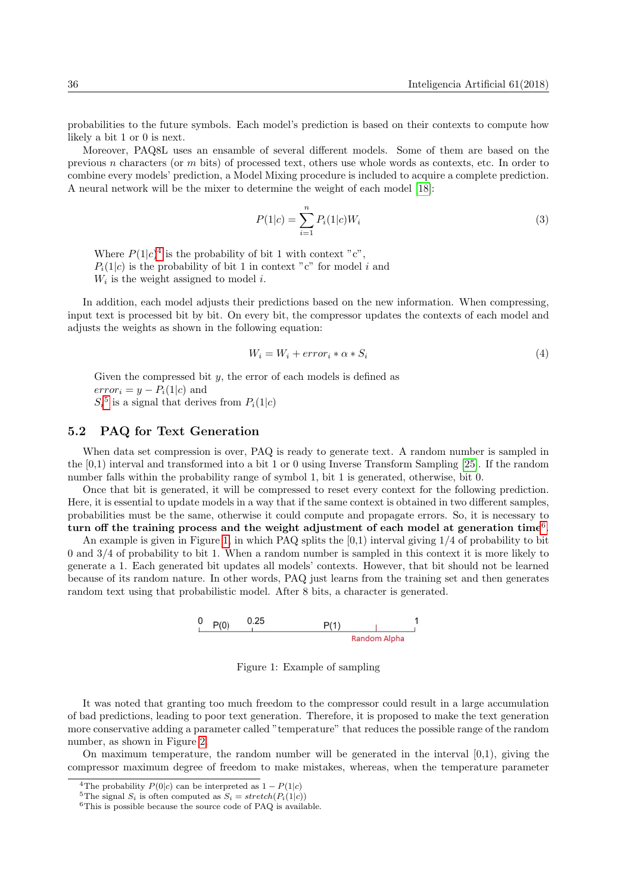probabilities to the future symbols. Each model's prediction is based on their contexts to compute how likely a bit 1 or 0 is next.

Moreover, PAQ8L uses an ensamble of several different models. Some of them are based on the previous n characters (or m bits) of processed text, others use whole words as contexts, etc. In order to combine every models' prediction, a Model Mixing procedure is included to acquire a complete prediction. A neural network will be the mixer to determine the weight of each model [\[18\]](#page-16-11):

$$
P(1|c) = \sum_{i=1}^{n} P_i(1|c)W_i
$$
\n(3)

Where  $P(1|c)^4$  $P(1|c)^4$  is the probability of bit 1 with context "c",  $P_i(1|c)$  is the probability of bit 1 in context "c" for model i and  $W_i$  is the weight assigned to model i.

In addition, each model adjusts their predictions based on the new information. When compressing, input text is processed bit by bit. On every bit, the compressor updates the contexts of each model and adjusts the weights as shown in the following equation:

$$
W_i = W_i + error_i * \alpha * S_i \tag{4}
$$

Given the compressed bit  $y$ , the error of each models is defined as  $error_i = y - P_i(1|c)$  and  $S_i^5$  $S_i^5$  is a signal that derives from  $P_i(1|c)$ 

### 5.2 PAQ for Text Generation

When data set compression is over, PAQ is ready to generate text. A random number is sampled in the [0,1) interval and transformed into a bit 1 or 0 using Inverse Transform Sampling [\[25\]](#page-16-12). If the random number falls within the probability range of symbol 1, bit 1 is generated, otherwise, bit 0.

Once that bit is generated, it will be compressed to reset every context for the following prediction. Here, it is essential to update models in a way that if the same context is obtained in two different samples, probabilities must be the same, otherwise it could compute and propagate errors. So, it is necessary to turn off the training process and the weight adjustment of each model at generation time<sup>[6](#page-6-2)</sup>.

An example is given in Figure [1,](#page-6-3) in which PAQ splits the  $[0,1)$  interval giving  $1/4$  of probability to bit 0 and 3/4 of probability to bit 1. When a random number is sampled in this context it is more likely to generate a 1. Each generated bit updates all models' contexts. However, that bit should not be learned because of its random nature. In other words, PAQ just learns from the training set and then generates random text using that probabilistic model. After 8 bits, a character is generated.



<span id="page-6-3"></span>Figure 1: Example of sampling

It was noted that granting too much freedom to the compressor could result in a large accumulation of bad predictions, leading to poor text generation. Therefore, it is proposed to make the text generation more conservative adding a parameter called "temperature" that reduces the possible range of the random number, as shown in Figure [2.](#page-7-0)

On maximum temperature, the random number will be generated in the interval  $[0,1)$ , giving the compressor maximum degree of freedom to make mistakes, whereas, when the temperature parameter

<span id="page-6-0"></span><sup>&</sup>lt;sup>4</sup>The probability  $P(0|c)$  can be interpreted as  $1 - P(1|c)$ 

<span id="page-6-1"></span><sup>&</sup>lt;sup>5</sup>The signal  $S_i$  is often computed as  $S_i = stretch(P_i(1|c))$ 

<span id="page-6-2"></span><sup>&</sup>lt;sup>6</sup>This is possible because the source code of PAQ is available.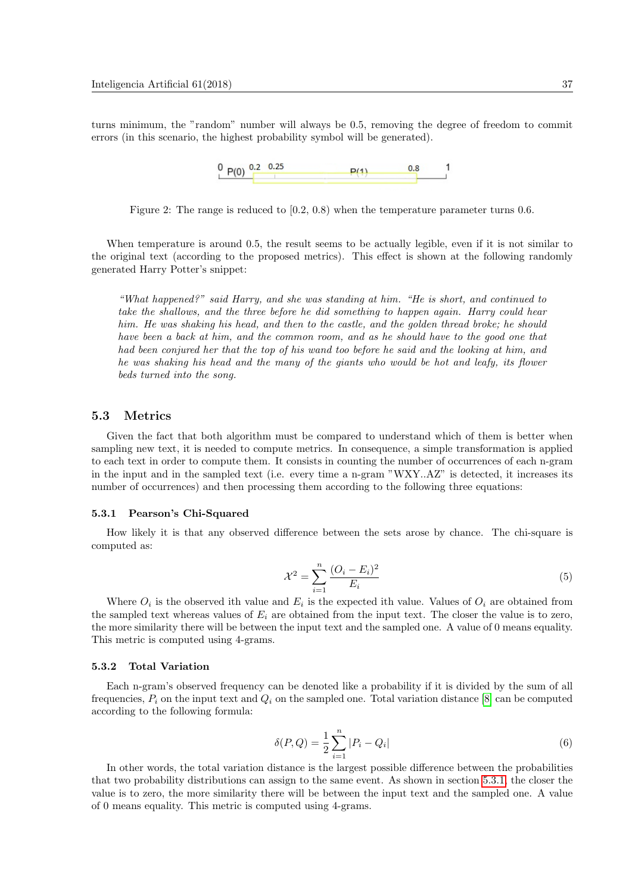turns minimum, the "random" number will always be 0.5, removing the degree of freedom to commit errors (in this scenario, the highest probability symbol will be generated).



<span id="page-7-0"></span>Figure 2: The range is reduced to  $(0.2, 0.8)$  when the temperature parameter turns 0.6.

When temperature is around 0.5, the result seems to be actually legible, even if it is not similar to the original text (according to the proposed metrics). This effect is shown at the following randomly generated Harry Potter's snippet:

"What happened?" said Harry, and she was standing at him. "He is short, and continued to take the shallows, and the three before he did something to happen again. Harry could hear him. He was shaking his head, and then to the castle, and the golden thread broke; he should have been a back at him, and the common room, and as he should have to the good one that had been conjured her that the top of his wand too before he said and the looking at him, and he was shaking his head and the many of the giants who would be hot and leafy, its flower beds turned into the song.

#### 5.3 Metrics

Given the fact that both algorithm must be compared to understand which of them is better when sampling new text, it is needed to compute metrics. In consequence, a simple transformation is applied to each text in order to compute them. It consists in counting the number of occurrences of each n-gram in the input and in the sampled text (i.e. every time a n-gram "WXY..AZ" is detected, it increases its number of occurrences) and then processing them according to the following three equations:

#### <span id="page-7-1"></span>5.3.1 Pearson's Chi-Squared

How likely it is that any observed difference between the sets arose by chance. The chi-square is computed as:

$$
\mathcal{X}^2 = \sum_{i=1}^n \frac{(O_i - E_i)^2}{E_i} \tag{5}
$$

Where  $O_i$  is the observed ith value and  $E_i$  is the expected ith value. Values of  $O_i$  are obtained from the sampled text whereas values of  $E_i$  are obtained from the input text. The closer the value is to zero, the more similarity there will be between the input text and the sampled one. A value of 0 means equality. This metric is computed using 4-grams.

#### 5.3.2 Total Variation

Each n-gram's observed frequency can be denoted like a probability if it is divided by the sum of all frequencies,  $P_i$  on the input text and  $Q_i$  on the sampled one. Total variation distance [\[8\]](#page-15-9) can be computed according to the following formula:

$$
\delta(P,Q) = \frac{1}{2} \sum_{i=1}^{n} |P_i - Q_i| \tag{6}
$$

In other words, the total variation distance is the largest possible difference between the probabilities that two probability distributions can assign to the same event. As shown in section [5.3.1,](#page-7-1) the closer the value is to zero, the more similarity there will be between the input text and the sampled one. A value of 0 means equality. This metric is computed using 4-grams.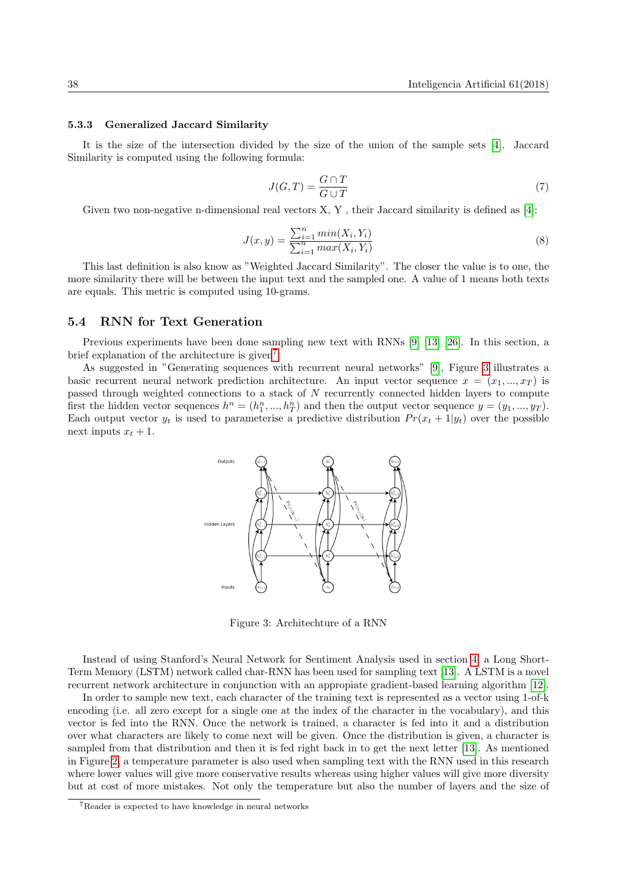#### <span id="page-8-2"></span>5.3.3 Generalized Jaccard Similarity

It is the size of the intersection divided by the size of the union of the sample sets [\[4\]](#page-15-10). Jaccard Similarity is computed using the following formula:

$$
J(G,T) = \frac{G \cap T}{G \cup T} \tag{7}
$$

Given two non-negative n-dimensional real vectors  $X, Y$ , their Jaccard similarity is defined as [\[4\]](#page-15-10):

$$
J(x,y) = \frac{\sum_{i=1}^{n} \min(X_i, Y_i)}{\sum_{i=1}^{n} \max(X_i, Y_i)}
$$
(8)

This last definition is also know as "Weighted Jaccard Similarity". The closer the value is to one, the more similarity there will be between the input text and the sampled one. A value of 1 means both texts are equals. This metric is computed using 10-grams.

### 5.4 RNN for Text Generation

Previous experiments have been done sampling new text with RNNs [\[9\]](#page-15-0) [\[13\]](#page-15-8) [\[26\]](#page-16-1). In this section, a brief explanation of the architecture is given<sup>[7](#page-8-0)</sup>.

As suggested in "Generating sequences with recurrent neural networks" [\[9\]](#page-15-0), Figure [3](#page-8-1) illustrates a basic recurrent neural network prediction architecture. An input vector sequence  $x = (x_1, ..., x_T)$  is passed through weighted connections to a stack of N recurrently connected hidden layers to compute first the hidden vector sequences  $h^n = (h_1^n, ..., h_T^n)$  and then the output vector sequence  $y = (y_1, ..., y_T)$ . Each output vector  $y_t$  is used to parameterise a predictive distribution  $Pr(x_t + 1|y_t)$  over the possible next inputs  $x_t + 1$ .



<span id="page-8-1"></span>Figure 3: Architechture of a RNN

Instead of using Stanford's Neural Network for Sentiment Analysis used in section [4,](#page-1-1) a Long Short-Term Memory (LSTM) network called char-RNN has been used for sampling text [\[13\]](#page-15-8). A LSTM is a novel recurrent network architecture in conjunction with an appropiate gradient-based learning algorithm [\[12\]](#page-15-11).

In order to sample new text, each character of the training text is represented as a vector using 1-of-k encoding (i.e. all zero except for a single one at the index of the character in the vocabulary), and this vector is fed into the RNN. Once the network is trained, a character is fed into it and a distribution over what characters are likely to come next will be given. Once the distribution is given, a character is sampled from that distribution and then it is fed right back in to get the next letter [\[13\]](#page-15-8). As mentioned in Figure [2,](#page-7-0) a temperature parameter is also used when sampling text with the RNN used in this research where lower values will give more conservative results whereas using higher values will give more diversity but at cost of more mistakes. Not only the temperature but also the number of layers and the size of

<span id="page-8-0"></span><sup>7</sup>Reader is expected to have knowledge in neural networks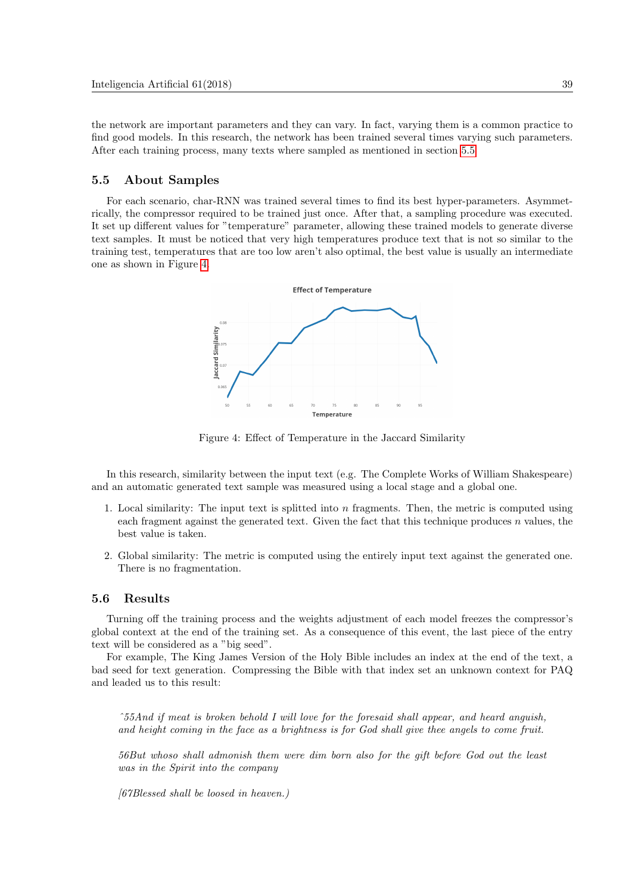the network are important parameters and they can vary. In fact, varying them is a common practice to find good models. In this research, the network has been trained several times varying such parameters. After each training process, many texts where sampled as mentioned in section [5.5](#page-9-0)

## <span id="page-9-0"></span>5.5 About Samples

For each scenario, char-RNN was trained several times to find its best hyper-parameters. Asymmetrically, the compressor required to be trained just once. After that, a sampling procedure was executed. It set up different values for "temperature" parameter, allowing these trained models to generate diverse text samples. It must be noticed that very high temperatures produce text that is not so similar to the training test, temperatures that are too low aren't also optimal, the best value is usually an intermediate one as shown in Figure [4.](#page-9-1)



<span id="page-9-1"></span>Figure 4: Effect of Temperature in the Jaccard Similarity

In this research, similarity between the input text (e.g. The Complete Works of William Shakespeare) and an automatic generated text sample was measured using a local stage and a global one.

- 1. Local similarity: The input text is splitted into  $n$  fragments. Then, the metric is computed using each fragment against the generated text. Given the fact that this technique produces  $n$  values, the best value is taken.
- 2. Global similarity: The metric is computed using the entirely input text against the generated one. There is no fragmentation.

### 5.6 Results

Turning off the training process and the weights adjustment of each model freezes the compressor's global context at the end of the training set. As a consequence of this event, the last piece of the entry text will be considered as a "big seed".

For example, The King James Version of the Holy Bible includes an index at the end of the text, a bad seed for text generation. Compressing the Bible with that index set an unknown context for PAQ and leaded us to this result:

ˆ55And if meat is broken behold I will love for the foresaid shall appear, and heard anguish, and height coming in the face as a brightness is for God shall give thee angels to come fruit.

56But whoso shall admonish them were dim born also for the gift before God out the least was in the Spirit into the company

[67Blessed shall be loosed in heaven.)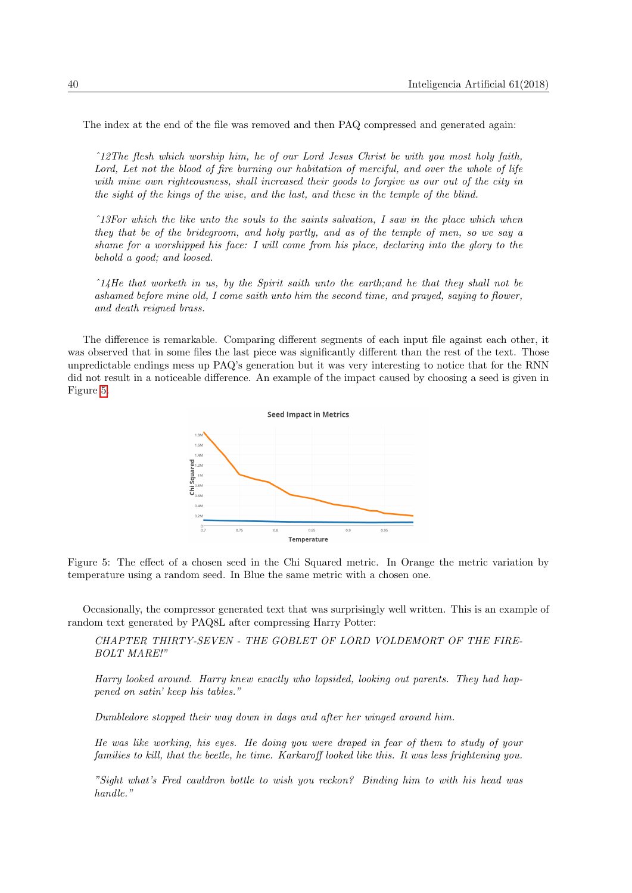The index at the end of the file was removed and then PAQ compressed and generated again:

ˆ12The flesh which worship him, he of our Lord Jesus Christ be with you most holy faith, Lord, Let not the blood of fire burning our habitation of merciful, and over the whole of life with mine own righteousness, shall increased their goods to forgive us our out of the city in the sight of the kings of the wise, and the last, and these in the temple of the blind.

ˆ13For which the like unto the souls to the saints salvation, I saw in the place which when they that be of the bridegroom, and holy partly, and as of the temple of men, so we say a shame for a worshipped his face: I will come from his place, declaring into the glory to the behold a good; and loosed.

 $\hat{i}$  14He that worketh in us, by the Spirit saith unto the earth; and he that they shall not be ashamed before mine old, I come saith unto him the second time, and prayed, saying to flower, and death reigned brass.

The difference is remarkable. Comparing different segments of each input file against each other, it was observed that in some files the last piece was significantly different than the rest of the text. Those unpredictable endings mess up PAQ's generation but it was very interesting to notice that for the RNN did not result in a noticeable difference. An example of the impact caused by choosing a seed is given in Figure [5.](#page-10-0)



<span id="page-10-0"></span>Figure 5: The effect of a chosen seed in the Chi Squared metric. In Orange the metric variation by temperature using a random seed. In Blue the same metric with a chosen one.

Occasionally, the compressor generated text that was surprisingly well written. This is an example of random text generated by PAQ8L after compressing Harry Potter:

CHAPTER THIRTY-SEVEN - THE GOBLET OF LORD VOLDEMORT OF THE FIRE-BOLT MARE!"

Harry looked around. Harry knew exactly who lopsided, looking out parents. They had happened on satin' keep his tables."

Dumbledore stopped their way down in days and after her winged around him.

He was like working, his eyes. He doing you were draped in fear of them to study of your families to kill, that the beetle, he time. Karkaroff looked like this. It was less frightening you.

"Sight what's Fred cauldron bottle to wish you reckon? Binding him to with his head was handle."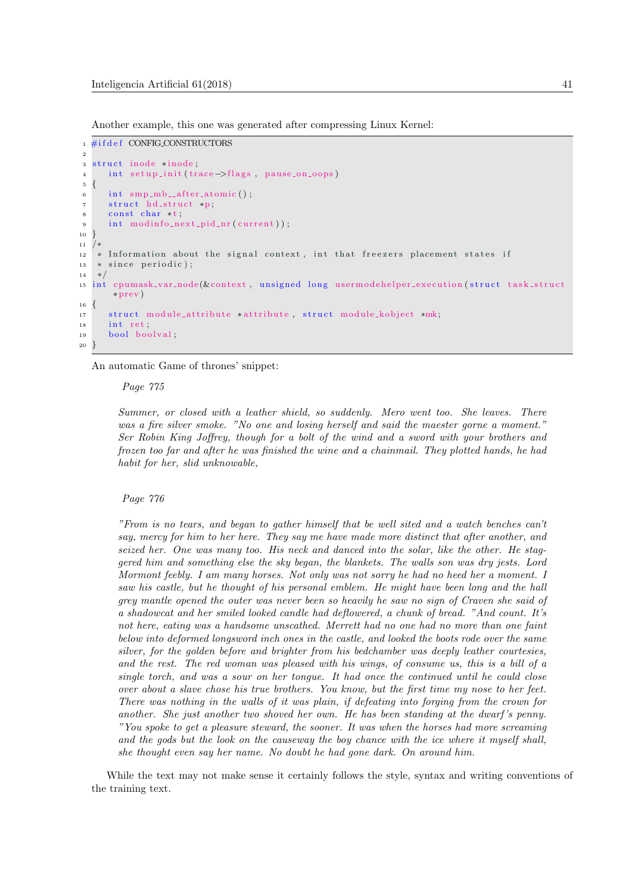Another example, this one was generated after compressing Linux Kernel:

```
_1 #if d e f CONFIG_CONSTRUCTORS
2
3 struct inode ∗inode,
4 int setup_init (trace →flags, pause_on_oops)
5 {
\frac{1}{6} int smp_mb__after_atomic();
7 struct hd_struct *p;
8 const char *t;
9 int modinfo_next_pid_nr(current));
10 }
1112 * Information about the signal context, int that freezers placement states if
13 * since periodic);
14 ∗/
15 int cpumask_var_node(&context, unsigned long usermodehelper_execution(struct task_struct
      ∗ prev )
16 {
17 struct module_attribute *attribute, struct module_kobject *mk;
18 int ret
19 bool boolval;
20 }
```
An automatic Game of thrones' snippet:

#### Page 775

Summer, or closed with a leather shield, so suddenly. Mero went too. She leaves. There was a fire silver smoke. "No one and losing herself and said the maester gorne a moment." Ser Robin King Joffrey, though for a bolt of the wind and a sword with your brothers and frozen too far and after he was finished the wine and a chainmail. They plotted hands, he had habit for her, slid unknowable,

#### Page 776

"From is no tears, and began to gather himself that be well sited and a watch benches can't say, mercy for him to her here. They say me have made more distinct that after another, and seized her. One was many too. His neck and danced into the solar, like the other. He staggered him and something else the sky began, the blankets. The walls son was dry jests. Lord Mormont feebly. I am many horses. Not only was not sorry he had no heed her a moment. I saw his castle, but he thought of his personal emblem. He might have been long and the hall grey mantle opened the outer was never been so heavily he saw no sign of Craven she said of a shadowcat and her smiled looked candle had deflowered, a chunk of bread. "And count. It's not here, eating was a handsome unscathed. Merrett had no one had no more than one faint below into deformed longsword inch ones in the castle, and looked the boots rode over the same silver, for the golden before and brighter from his bedchamber was deeply leather courtesies, and the rest. The red woman was pleased with his wings, of consume us, this is a bill of a single torch, and was a sour on her tongue. It had once the continued until he could close over about a slave chose his true brothers. You know, but the first time my nose to her feet. There was nothing in the walls of it was plain, if defeating into forging from the crown for another. She just another two shoved her own. He has been standing at the dwarf 's penny. "You spoke to get a pleasure steward, the sooner. It was when the horses had more screaming and the gods but the look on the causeway the boy chance with the ice where it myself shall, she thought even say her name. No doubt he had gone dark. On around him.

While the text may not make sense it certainly follows the style, syntax and writing conventions of the training text.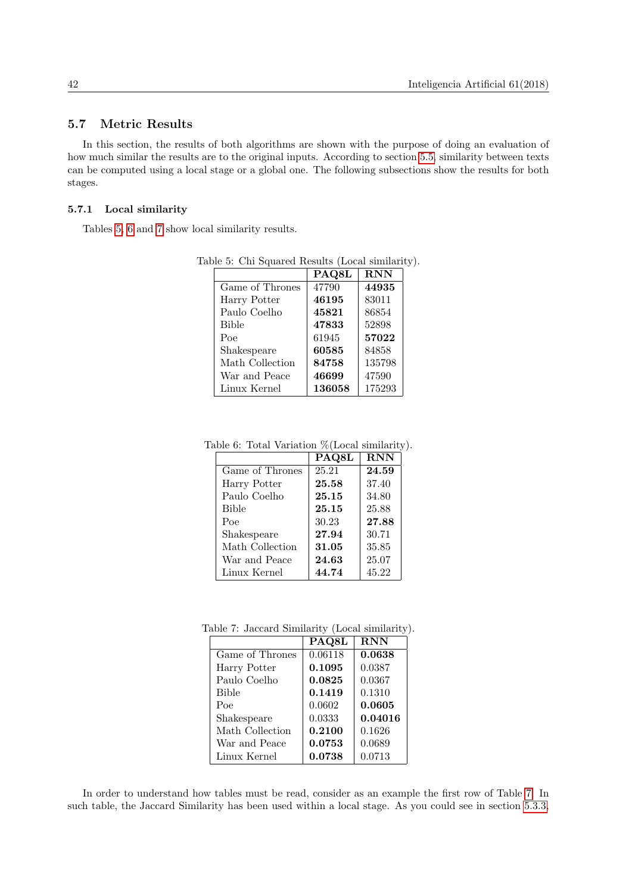## 5.7 Metric Results

In this section, the results of both algorithms are shown with the purpose of doing an evaluation of how much similar the results are to the original inputs. According to section [5.5,](#page-9-0) similarity between texts can be computed using a local stage or a global one. The following subsections show the results for both stages.

### 5.7.1 Local similarity

Tables [5,](#page-12-0) [6](#page-12-1) and [7](#page-12-2) show local similarity results.

<span id="page-12-0"></span>

|                 | PAQ8L  | <b>RNN</b> |
|-----------------|--------|------------|
|                 |        |            |
| Game of Thrones | 47790  | 44935      |
| Harry Potter    | 46195  | 83011      |
| Paulo Coelho    | 45821  | 86854      |
| <b>Bible</b>    | 47833  | 52898      |
| Poe             | 61945  | 57022      |
| Shakespeare     | 60585  | 84858      |
| Math Collection | 84758  | 135798     |
| War and Peace   | 46699  | 47590      |
| Linux Kernel    | 136058 | 175293     |

Table 5: Chi Squared Results (Local similarity).

Table 6: Total Variation %(Local similarity).

<span id="page-12-1"></span>

| 24.59 |
|-------|
| 37.40 |
| 34.80 |
| 25.88 |
| 27.88 |
| 30.71 |
| 35.85 |
| 25.07 |
| 45.22 |
|       |

Table 7: Jaccard Similarity (Local similarity).

<span id="page-12-2"></span>

|                 | PAQ8L   | <b>RNN</b> |
|-----------------|---------|------------|
| Game of Thrones | 0.06118 | 0.0638     |
| Harry Potter    | 0.1095  | 0.0387     |
| Paulo Coelho    | 0.0825  | 0.0367     |
| <b>Bible</b>    | 0.1419  | 0.1310     |
| Poe             | 0.0602  | 0.0605     |
| Shakespeare     | 0.0333  | 0.04016    |
| Math Collection | 0.2100  | 0.1626     |
| War and Peace   | 0.0753  | 0.0689     |
| Linux Kernel    | 0.0738  | 0.0713     |

In order to understand how tables must be read, consider as an example the first row of Table [7.](#page-12-2) In such table, the Jaccard Similarity has been used within a local stage. As you could see in section [5.3.3,](#page-8-2)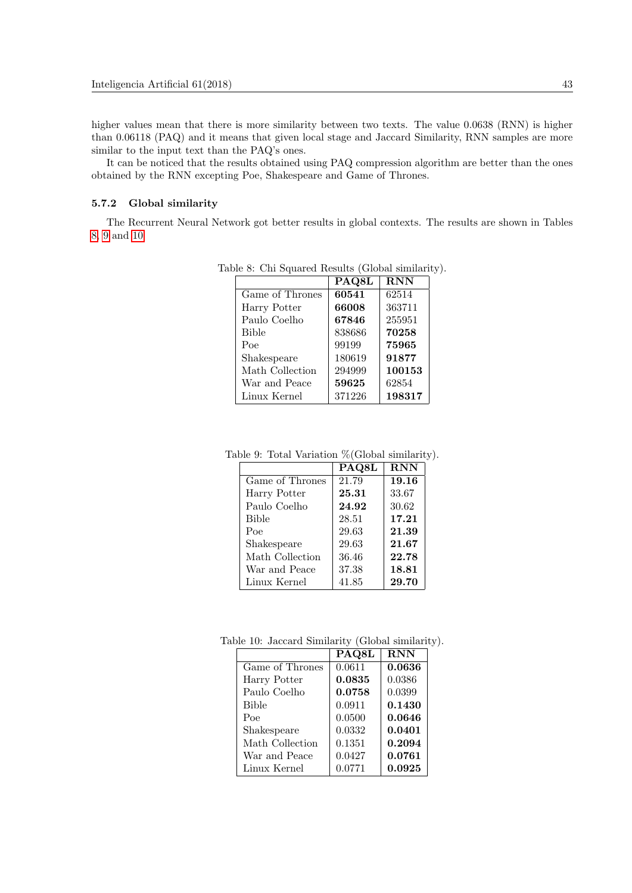higher values mean that there is more similarity between two texts. The value 0.0638 (RNN) is higher than 0.06118 (PAQ) and it means that given local stage and Jaccard Similarity, RNN samples are more similar to the input text than the PAQ's ones.

It can be noticed that the results obtained using PAQ compression algorithm are better than the ones obtained by the RNN excepting Poe, Shakespeare and Game of Thrones.

### 5.7.2 Global similarity

The Recurrent Neural Network got better results in global contexts. The results are shown in Tables [8,](#page-13-0) [9](#page-13-1) and [10](#page-13-2)

<span id="page-13-0"></span>

|                 | PAQ8L  | $\overline{\mathrm{RNN}}$ |
|-----------------|--------|---------------------------|
| Game of Thrones | 60541  | 62514                     |
| Harry Potter    | 66008  | 363711                    |
| Paulo Coelho    | 67846  | 255951                    |
| <b>Bible</b>    | 838686 | 70258                     |
| Poe             | 99199  | 75965                     |
| Shakespeare     | 180619 | 91877                     |
| Math Collection | 294999 | 100153                    |
| War and Peace   | 59625  | 62854                     |
| Linux Kernel    | 371226 | 198317                    |

Table 8: Chi Squared Results (Global similarity).

Table 9: Total Variation %(Global similarity).

<span id="page-13-1"></span>

|                 | PAQ8L | <b>RNN</b> |
|-----------------|-------|------------|
| Game of Thrones | 21.79 | 19.16      |
| Harry Potter    | 25.31 | 33.67      |
| Paulo Coelho    | 24.92 | 30.62      |
| <b>Bible</b>    | 28.51 | 17.21      |
| Poe             | 29.63 | 21.39      |
| Shakespeare     | 29.63 | 21.67      |
| Math Collection | 36.46 | 22.78      |
| War and Peace   | 37.38 | 18.81      |
| Linux Kernel    | 41.85 | 29.70      |

Table 10: Jaccard Similarity (Global similarity).

<span id="page-13-2"></span>

|                 | PAQ8L  | <b>RNN</b> |
|-----------------|--------|------------|
| Game of Thrones | 0.0611 | 0.0636     |
| Harry Potter    | 0.0835 | 0.0386     |
| Paulo Coelho    | 0.0758 | 0.0399     |
| <b>Bible</b>    | 0.0911 | 0.1430     |
| Poe             | 0.0500 | 0.0646     |
| Shakespeare     | 0.0332 | 0.0401     |
| Math Collection | 0.1351 | 0.2094     |
| War and Peace   | 0.0427 | 0.0761     |
| Linux Kernel    | 0.0771 | 0.0925     |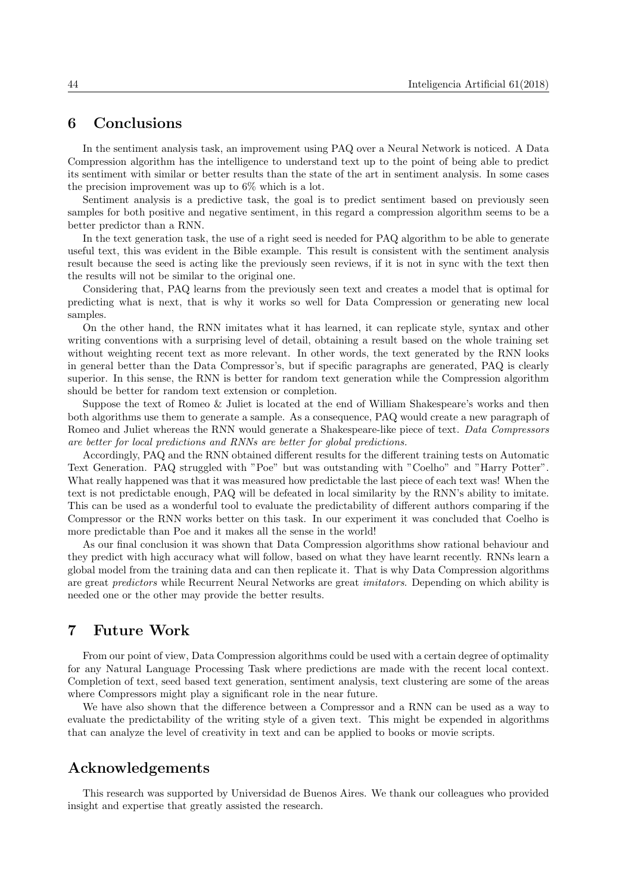# 6 Conclusions

In the sentiment analysis task, an improvement using PAQ over a Neural Network is noticed. A Data Compression algorithm has the intelligence to understand text up to the point of being able to predict its sentiment with similar or better results than the state of the art in sentiment analysis. In some cases the precision improvement was up to 6% which is a lot.

Sentiment analysis is a predictive task, the goal is to predict sentiment based on previously seen samples for both positive and negative sentiment, in this regard a compression algorithm seems to be a better predictor than a RNN.

In the text generation task, the use of a right seed is needed for PAQ algorithm to be able to generate useful text, this was evident in the Bible example. This result is consistent with the sentiment analysis result because the seed is acting like the previously seen reviews, if it is not in sync with the text then the results will not be similar to the original one.

Considering that, PAQ learns from the previously seen text and creates a model that is optimal for predicting what is next, that is why it works so well for Data Compression or generating new local samples.

On the other hand, the RNN imitates what it has learned, it can replicate style, syntax and other writing conventions with a surprising level of detail, obtaining a result based on the whole training set without weighting recent text as more relevant. In other words, the text generated by the RNN looks in general better than the Data Compressor's, but if specific paragraphs are generated, PAQ is clearly superior. In this sense, the RNN is better for random text generation while the Compression algorithm should be better for random text extension or completion.

Suppose the text of Romeo & Juliet is located at the end of William Shakespeare's works and then both algorithms use them to generate a sample. As a consequence, PAQ would create a new paragraph of Romeo and Juliet whereas the RNN would generate a Shakespeare-like piece of text. Data Compressors are better for local predictions and RNNs are better for global predictions.

Accordingly, PAQ and the RNN obtained different results for the different training tests on Automatic Text Generation. PAQ struggled with "Poe" but was outstanding with "Coelho" and "Harry Potter". What really happened was that it was measured how predictable the last piece of each text was! When the text is not predictable enough, PAQ will be defeated in local similarity by the RNN's ability to imitate. This can be used as a wonderful tool to evaluate the predictability of different authors comparing if the Compressor or the RNN works better on this task. In our experiment it was concluded that Coelho is more predictable than Poe and it makes all the sense in the world!

As our final conclusion it was shown that Data Compression algorithms show rational behaviour and they predict with high accuracy what will follow, based on what they have learnt recently. RNNs learn a global model from the training data and can then replicate it. That is why Data Compression algorithms are great predictors while Recurrent Neural Networks are great imitators. Depending on which ability is needed one or the other may provide the better results.

# 7 Future Work

From our point of view, Data Compression algorithms could be used with a certain degree of optimality for any Natural Language Processing Task where predictions are made with the recent local context. Completion of text, seed based text generation, sentiment analysis, text clustering are some of the areas where Compressors might play a significant role in the near future.

We have also shown that the difference between a Compressor and a RNN can be used as a way to evaluate the predictability of the writing style of a given text. This might be expended in algorithms that can analyze the level of creativity in text and can be applied to books or movie scripts.

# Acknowledgements

This research was supported by Universidad de Buenos Aires. We thank our colleagues who provided insight and expertise that greatly assisted the research.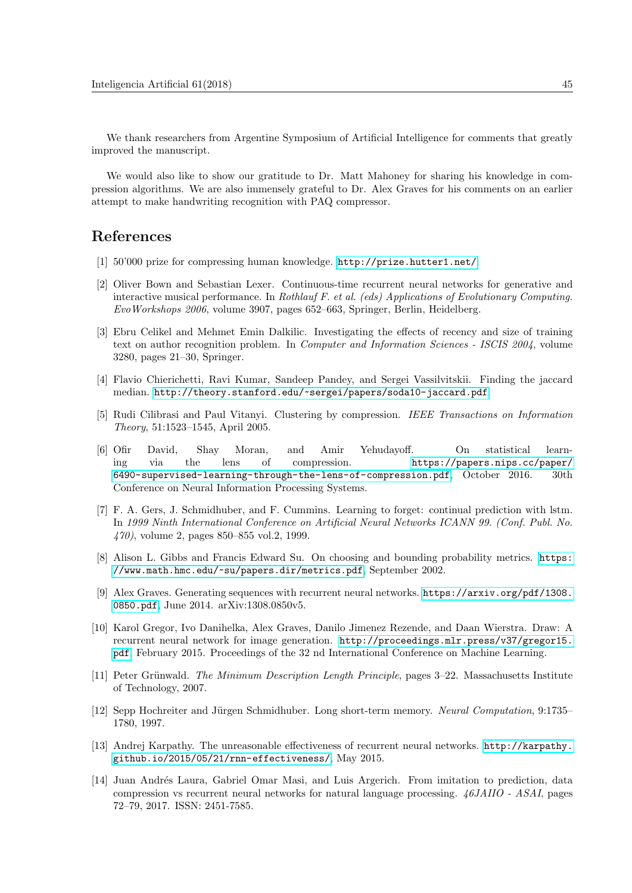We thank researchers from Argentine Symposium of Artificial Intelligence for comments that greatly improved the manuscript.

We would also like to show our gratitude to Dr. Matt Mahoney for sharing his knowledge in compression algorithms. We are also immensely grateful to Dr. Alex Graves for his comments on an earlier attempt to make handwriting recognition with PAQ compressor.

# References

- <span id="page-15-7"></span>[1] 50'000 prize for compressing human knowledge. [http://prize.hutter1.net/]( http://prize.hutter1.net/).
- <span id="page-15-1"></span>[2] Oliver Bown and Sebastian Lexer. Continuous-time recurrent neural networks for generative and interactive musical performance. In Rothlauf F. et al. (eds) Applications of Evolutionary Computing. EvoWorkshops 2006, volume 3907, pages 652–663, Springer, Berlin, Heidelberg.
- [3] Ebru Celikel and Mehmet Emin Dalkilic. Investigating the effects of recency and size of training text on author recognition problem. In Computer and Information Sciences - ISCIS 2004, volume 3280, pages 21–30, Springer.
- <span id="page-15-10"></span>[4] Flavio Chierichetti, Ravi Kumar, Sandeep Pandey, and Sergei Vassilvitskii. Finding the jaccard median. [http://theory.stanford.edu/~sergei/papers/soda10-jaccard.pdf]( http://theory.stanford.edu/~sergei/papers/soda10-jaccard.pdf).
- <span id="page-15-2"></span>[5] Rudi Cilibrasi and Paul Vitanyi. Clustering by compression. IEEE Transactions on Information Theory, 51:1523–1545, April 2005.
- <span id="page-15-5"></span>[6] Ofir David, Shay Moran, and Amir Yehudayoff. On statistical learning via the lens of compression. [https://papers.nips.cc/paper/]( https://papers.nips.cc/paper/6490-supervised-learning-through-the-lens-of-compression.pdf) [6490-supervised-learning-through-the-lens-of-compression.pdf]( https://papers.nips.cc/paper/6490-supervised-learning-through-the-lens-of-compression.pdf), October 2016. 30th Conference on Neural Information Processing Systems.
- <span id="page-15-3"></span>[7] F. A. Gers, J. Schmidhuber, and F. Cummins. Learning to forget: continual prediction with lstm. In 1999 Ninth International Conference on Artificial Neural Networks ICANN 99. (Conf. Publ. No. 470), volume 2, pages 850–855 vol.2, 1999.
- <span id="page-15-9"></span>[8] Alison L. Gibbs and Francis Edward Su. On choosing and bounding probability metrics. [https:]( https://www.math.hmc.edu/~su/papers.dir/metrics.pdf) [//www.math.hmc.edu/~su/papers.dir/metrics.pdf]( https://www.math.hmc.edu/~su/papers.dir/metrics.pdf), September 2002.
- <span id="page-15-0"></span>[9] Alex Graves. Generating sequences with recurrent neural networks. [https://arxiv.org/pdf/1308.](https://arxiv.org/pdf/1308.0850.pdf) [0850.pdf](https://arxiv.org/pdf/1308.0850.pdf), June 2014. arXiv:1308.0850v5.
- <span id="page-15-4"></span>[10] Karol Gregor, Ivo Danihelka, Alex Graves, Danilo Jimenez Rezende, and Daan Wierstra. Draw: A recurrent neural network for image generation. [http://proceedings.mlr.press/v37/gregor15.]( http://proceedings.mlr.press/v37/gregor15.pdf) [pdf]( http://proceedings.mlr.press/v37/gregor15.pdf), February 2015. Proceedings of the 32 nd International Conference on Machine Learning.
- <span id="page-15-6"></span>[11] Peter Grünwald. The Minimum Description Length Principle, pages 3–22. Massachusetts Institute of Technology, 2007.
- <span id="page-15-11"></span>[12] Sepp Hochreiter and Jürgen Schmidhuber. Long short-term memory. Neural Computation, 9:1735– 1780, 1997.
- <span id="page-15-8"></span>[13] Andrej Karpathy. The unreasonable effectiveness of recurrent neural networks. [http://karpathy.]( http://karpathy.github.io/2015/05/21/rnn-effectiveness/) [github.io/2015/05/21/rnn-effectiveness/]( http://karpathy.github.io/2015/05/21/rnn-effectiveness/), May 2015.
- [14] Juan Andrés Laura, Gabriel Omar Masi, and Luis Argerich. From imitation to prediction, data compression vs recurrent neural networks for natural language processing. 46JAIIO - ASAI, pages 72–79, 2017. ISSN: 2451-7585.